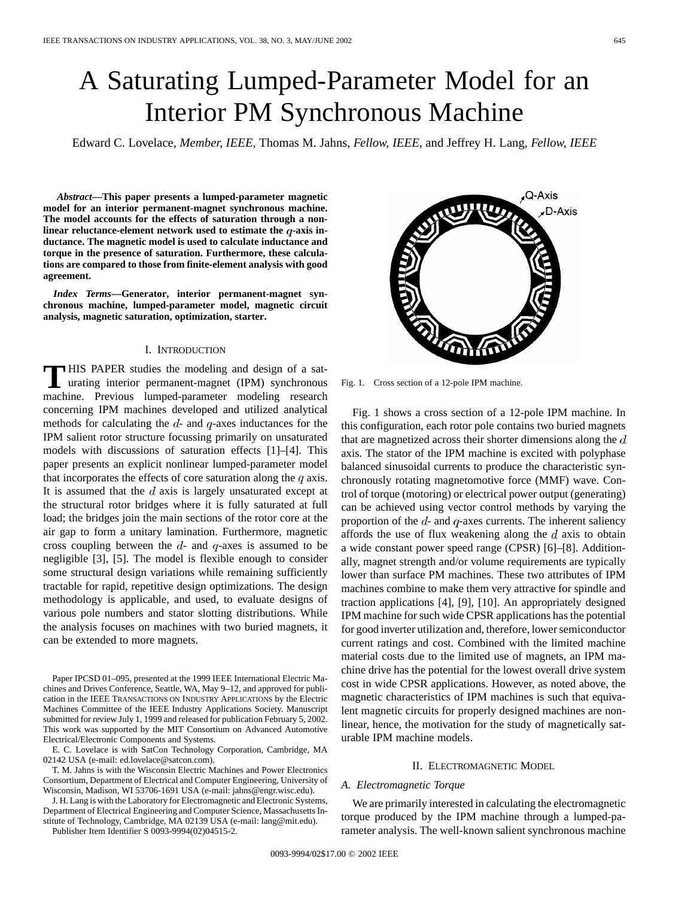# A Saturating Lumped-Parameter Model for an Interior PM Synchronous Machine

Edward C. Lovelace*, Member, IEEE*, Thomas M. Jahns*, Fellow, IEEE*, and Jeffrey H. Lang*, Fellow, IEEE*

*Abstract—***This paper presents a lumped-parameter magnetic model for an interior permanent-magnet synchronous machine. The model accounts for the effects of saturation through a non**linear reluctance-element network used to estimate the *q*-axis in**ductance. The magnetic model is used to calculate inductance and torque in the presence of saturation. Furthermore, these calculations are compared to those from finite-element analysis with good agreement.**

*Index Terms—***Generator, interior permanent-magnet synchronous machine, lumped-parameter model, magnetic circuit analysis, magnetic saturation, optimization, starter.**

## I. INTRODUCTION

**T** HIS PAPER studies the modeling and design of a saturating interior permanent-magnet (IPM) synchronous machine. Previous lumped-parameter modeling research concerning IPM machines developed and utilized analytical methods for calculating the  $d$ - and  $q$ -axes inductances for the IPM salient rotor structure focussing primarily on unsaturated models with discussions of saturation effects [1]–[4]. This paper presents an explicit nonlinear lumped-parameter model that incorporates the effects of core saturation along the  $q$  axis. It is assumed that the  $d$  axis is largely unsaturated except at the structural rotor bridges where it is fully saturated at full load; the bridges join the main sections of the rotor core at the air gap to form a unitary lamination. Furthermore, magnetic cross coupling between the  $d$ - and  $q$ -axes is assumed to be negligible [3], [5]. The model is flexible enough to consider some structural design variations while remaining sufficiently tractable for rapid, repetitive design optimizations. The design methodology is applicable, and used, to evaluate designs of various pole numbers and stator slotting distributions. While the analysis focuses on machines with two buried magnets, it can be extended to more magnets.

Paper IPCSD 01–095, presented at the 1999 IEEE International Electric Machines and Drives Conference, Seattle, WA, May 9–12, and approved for publication in the IEEE TRANSACTIONS ON INDUSTRY APPLICATIONS by the Electric Machines Committee of the IEEE Industry Applications Society. Manuscript submitted for review July 1, 1999 and released for publication February 5, 2002. This work was supported by the MIT Consortium on Advanced Automotive Electrical/Electronic Components and Systems.

E. C. Lovelace is with SatCon Technology Corporation, Cambridge, MA 02142 USA (e-mail: ed.lovelace@satcon.com).

T. M. Jahns is with the Wisconsin Electric Machines and Power Electronics Consortium, Department of Electrical and Computer Engineering, University of Wisconsin, Madison, WI 53706-1691 USA (e-mail: jahns@engr.wisc.edu).

J. H. Lang is with the Laboratory for Electromagnetic and Electronic Systems, Department of Electrical Engineering and Computer Science, Massachusetts Institute of Technology, Cambridge, MA 02139 USA (e-mail: lang@mit.edu).

Publisher Item Identifier S 0093-9994(02)04515-2.



Fig. 1. Cross section of a 12-pole IPM machine.

Fig. 1 shows a cross section of a 12-pole IPM machine. In this configuration, each rotor pole contains two buried magnets that are magnetized across their shorter dimensions along the  $d$ axis. The stator of the IPM machine is excited with polyphase balanced sinusoidal currents to produce the characteristic synchronously rotating magnetomotive force (MMF) wave. Control of torque (motoring) or electrical power output (generating) can be achieved using vector control methods by varying the proportion of the  $d$ - and  $q$ -axes currents. The inherent saliency affords the use of flux weakening along the  $d$  axis to obtain a wide constant power speed range (CPSR) [6]–[8]. Additionally, magnet strength and/or volume requirements are typically lower than surface PM machines. These two attributes of IPM machines combine to make them very attractive for spindle and traction applications [4], [9], [10]. An appropriately designed IPM machine for such wide CPSR applications has the potential for good inverter utilization and, therefore, lower semiconductor current ratings and cost. Combined with the limited machine material costs due to the limited use of magnets, an IPM machine drive has the potential for the lowest overall drive system cost in wide CPSR applications. However, as noted above, the magnetic characteristics of IPM machines is such that equivalent magnetic circuits for properly designed machines are nonlinear, hence, the motivation for the study of magnetically saturable IPM machine models.

### II. ELECTROMAGNETIC MODEL

## *A. Electromagnetic Torque*

We are primarily interested in calculating the electromagnetic torque produced by the IPM machine through a lumped-parameter analysis. The well-known salient synchronous machine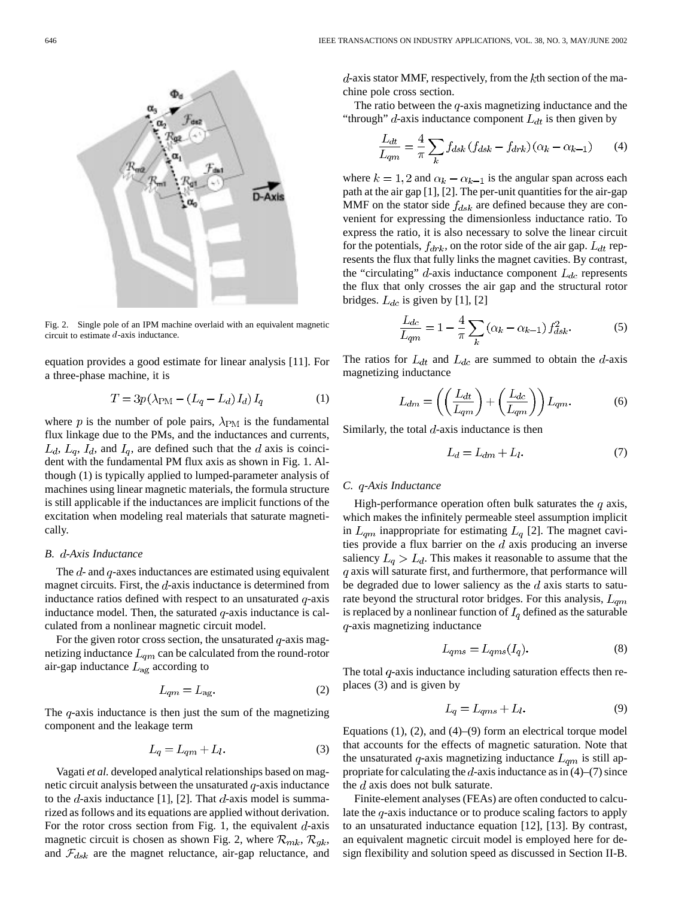

Fig. 2. Single pole of an IPM machine overlaid with an equivalent magnetic circuit to estimate d-axis inductance.

equation provides a good estimate for linear analysis [11]. For a three-phase machine, it is

$$
T = 3p\left(\lambda_{\rm PM} - \left(L_q - L_d\right)I_d\right)I_q\tag{1}
$$

where p is the number of pole pairs,  $\lambda_{\rm PM}$  is the fundamental flux linkage due to the PMs, and the inductances and currents,  $L_d$ ,  $L_q$ ,  $I_d$ , and  $I_q$ , are defined such that the d axis is coincident with the fundamental PM flux axis as shown in Fig. 1. Although (1) is typically applied to lumped-parameter analysis of machines using linear magnetic materials, the formula structure is still applicable if the inductances are implicit functions of the excitation when modeling real materials that saturate magnetically.

## *B. -Axis Inductance*

The  $d$ - and  $q$ -axes inductances are estimated using equivalent magnet circuits. First, the  $d$ -axis inductance is determined from inductance ratios defined with respect to an unsaturated  $q$ -axis inductance model. Then, the saturated  $q$ -axis inductance is calculated from a nonlinear magnetic circuit model.

For the given rotor cross section, the unsaturated  $q$ -axis magnetizing inductance  $L_{qm}$  can be calculated from the round-rotor air-gap inductance  $L_{\text{ag}}$  according to

$$
L_{qm} = L_{\text{ag}}.\tag{2}
$$

The  $q$ -axis inductance is then just the sum of the magnetizing component and the leakage term

$$
L_q = L_{qm} + L_l. \tag{3}
$$

Vagati *et al.* developed analytical relationships based on magnetic circuit analysis between the unsaturated  $q$ -axis inductance to the d-axis inductance [1], [2]. That  $d$ -axis model is summarized as follows and its equations are applied without derivation. For the rotor cross section from Fig. 1, the equivalent  $d$ -axis magnetic circuit is chosen as shown Fig. 2, where  $\mathcal{R}_{mk}$ ,  $\mathcal{R}_{gk}$ , and  $\mathcal{F}_{dsk}$  are the magnet reluctance, air-gap reluctance, and  $d$ -axis stator MMF, respectively, from the  $k$ th section of the machine pole cross section.

The ratio between the  $q$ -axis magnetizing inductance and the "through"  $d$ -axis inductance component  $L_{dt}$  is then given by

$$
\frac{L_{dt}}{L_{qm}} = \frac{4}{\pi} \sum_{k} f_{dsk} \left( f_{dsk} - f_{drk} \right) \left( \alpha_k - \alpha_{k-1} \right) \tag{4}
$$

where  $k = 1, 2$  and  $\alpha_k - \alpha_{k-1}$  is the angular span across each path at the air gap [1], [2]. The per-unit quantities for the air-gap MMF on the stator side  $f_{dsk}$  are defined because they are convenient for expressing the dimensionless inductance ratio. To express the ratio, it is also necessary to solve the linear circuit for the potentials,  $f_{drk}$ , on the rotor side of the air gap.  $L_{dt}$  represents the flux that fully links the magnet cavities. By contrast, the "circulating"  $d$ -axis inductance component  $L_{dc}$  represents the flux that only crosses the air gap and the structural rotor bridges.  $L_{dc}$  is given by [1], [2]

$$
\frac{L_{dc}}{L_{qm}} = 1 - \frac{4}{\pi} \sum_{k} (\alpha_k - \alpha_{k-1}) f_{dsk}^2.
$$
 (5)

The ratios for  $L_{dt}$  and  $L_{dc}$  are summed to obtain the d-axis magnetizing inductance

$$
L_{dm} = \left( \left( \frac{L_{dt}}{L_{qm}} \right) + \left( \frac{L_{dc}}{L_{qm}} \right) \right) L_{qm}.
$$
 (6)

Similarly, the total  $d$ -axis inductance is then

$$
L_d = L_{dm} + L_l. \tag{7}
$$

## *C. -Axis Inductance*

High-performance operation often bulk saturates the  $q$  axis, which makes the infinitely permeable steel assumption implicit in  $L_{qm}$  inappropriate for estimating  $L_q$  [2]. The magnet cavities provide a flux barrier on the  $d$  axis producing an inverse saliency  $L_q > L_d$ . This makes it reasonable to assume that the  $q$  axis will saturate first, and furthermore, that performance will be degraded due to lower saliency as the  $d$  axis starts to saturate beyond the structural rotor bridges. For this analysis,  $L_{qm}$ is replaced by a nonlinear function of  $I_q$  defined as the saturable  $q$ -axis magnetizing inductance

$$
L_{qms} = L_{qms}(I_q). \tag{8}
$$

The total  $q$ -axis inductance including saturation effects then replaces (3) and is given by

$$
L_q = L_{qms} + L_l. \tag{9}
$$

Equations  $(1)$ ,  $(2)$ , and  $(4)$ – $(9)$  form an electrical torque model that accounts for the effects of magnetic saturation. Note that the unsaturated q-axis magnetizing inductance  $L_{qm}$  is still appropriate for calculating the  $d$ -axis inductance as in (4)–(7) since the  $d$  axis does not bulk saturate.

Finite-element analyses (FEAs) are often conducted to calculate the  $q$ -axis inductance or to produce scaling factors to apply to an unsaturated inductance equation [12], [13]. By contrast, an equivalent magnetic circuit model is employed here for design flexibility and solution speed as discussed in Section II-B.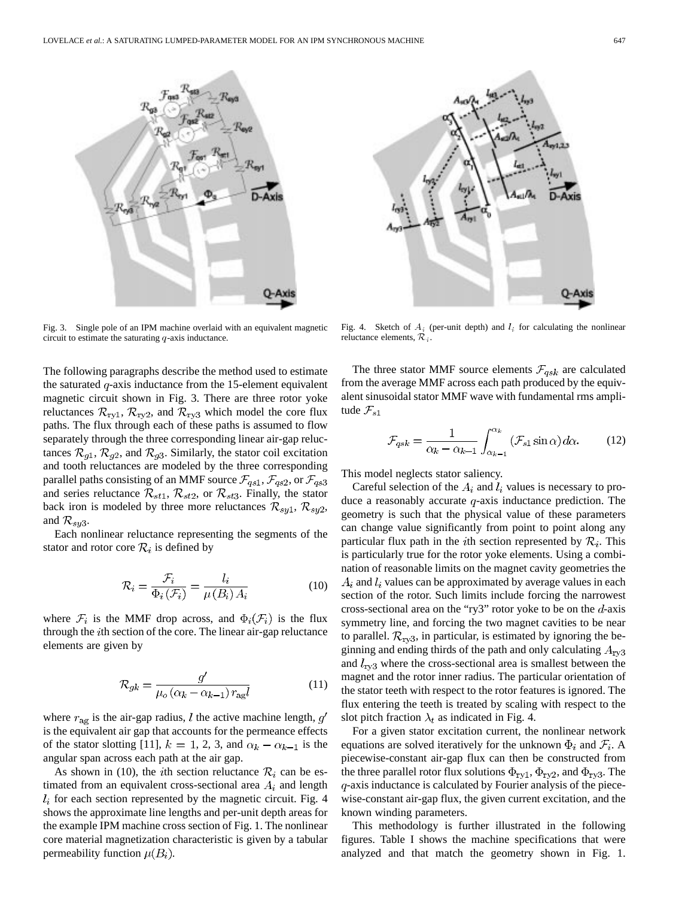

Fig. 3. Single pole of an IPM machine overlaid with an equivalent magnetic circuit to estimate the saturating q-axis inductance.

The following paragraphs describe the method used to estimate the saturated  $q$ -axis inductance from the 15-element equivalent magnetic circuit shown in Fig. 3. There are three rotor yoke reluctances  $\mathcal{R}_{ry1}$ ,  $\mathcal{R}_{ry2}$ , and  $\mathcal{R}_{ry3}$  which model the core flux paths. The flux through each of these paths is assumed to flow separately through the three corresponding linear air-gap reluctances  $\mathcal{R}_{g1}, \mathcal{R}_{g2}$ , and  $\mathcal{R}_{g3}$ . Similarly, the stator coil excitation and tooth reluctances are modeled by the three corresponding parallel paths consisting of an MMF source  $\mathcal{F}_{qs1}, \mathcal{F}_{qs2}, \text{or } \mathcal{F}_{qs3}$ and series reluctance  $\mathcal{R}_{st1}$ ,  $\mathcal{R}_{st2}$ , or  $\mathcal{R}_{st3}$ . Finally, the stator back iron is modeled by three more reluctances  $\mathcal{R}_{syl}$ ,  $\mathcal{R}_{syl}$ , and  $\mathcal{R}_{sy3}$ .

Each nonlinear reluctance representing the segments of the stator and rotor core  $\mathcal{R}_i$  is defined by

$$
\mathcal{R}_i = \frac{\mathcal{F}_i}{\Phi_i(\mathcal{F}_i)} = \frac{l_i}{\mu(B_i) A_i}
$$
(10)

where  $\mathcal{F}_i$  is the MMF drop across, and  $\Phi_i(\mathcal{F}_i)$  is the flux through the  $i$ th section of the core. The linear air-gap reluctance elements are given by

$$
\mathcal{R}_{gk} = \frac{g'}{\mu_o \left(\alpha_k - \alpha_{k-1}\right) r_{ag} l} \tag{11}
$$

where  $r_{\text{ag}}$  is the air-gap radius, l the active machine length,  $q'$ is the equivalent air gap that accounts for the permeance effects of the stator slotting [11],  $k = 1, 2, 3$ , and  $\alpha_k - \alpha_{k-1}$  is the angular span across each path at the air gap.

As shown in (10), the *i*th section reluctance  $\mathcal{R}_i$  can be estimated from an equivalent cross-sectional area  $A_i$  and length  $l_i$  for each section represented by the magnetic circuit. Fig. 4 shows the approximate line lengths and per-unit depth areas for the example IPM machine cross section of Fig. 1. The nonlinear core material magnetization characteristic is given by a tabular permeability function  $\mu(B_i)$ .



The three stator MMF source elements  $\mathcal{F}_{qsk}$  are calculated from the average MMF across each path produced by the equivalent sinusoidal stator MMF wave with fundamental rms amplitude  $\mathcal{F}_{s1}$ 

$$
\mathcal{F}_{qsk} = \frac{1}{\alpha_k - \alpha_{k-1}} \int_{\alpha_{k-1}}^{\alpha_k} (\mathcal{F}_{s1} \sin \alpha) d\alpha.
$$
 (12)

This model neglects stator saliency.

Careful selection of the  $A_i$  and  $l_i$  values is necessary to produce a reasonably accurate  $q$ -axis inductance prediction. The geometry is such that the physical value of these parameters can change value significantly from point to point along any particular flux path in the *i*th section represented by  $\mathcal{R}_i$ . This is particularly true for the rotor yoke elements. Using a combination of reasonable limits on the magnet cavity geometries the  $A_i$  and  $l_i$  values can be approximated by average values in each section of the rotor. Such limits include forcing the narrowest cross-sectional area on the "ry3" rotor yoke to be on the  $d$ -axis symmetry line, and forcing the two magnet cavities to be near to parallel.  $\mathcal{R}_{\text{rv3}}$ , in particular, is estimated by ignoring the beginning and ending thirds of the path and only calculating  $A_{\rm{rv3}}$ and  $l_{\text{rv3}}$  where the cross-sectional area is smallest between the magnet and the rotor inner radius. The particular orientation of the stator teeth with respect to the rotor features is ignored. The flux entering the teeth is treated by scaling with respect to the slot pitch fraction  $\lambda_t$  as indicated in Fig. 4.

For a given stator excitation current, the nonlinear network equations are solved iteratively for the unknown  $\Phi_i$  and  $\mathcal{F}_i$ . A piecewise-constant air-gap flux can then be constructed from the three parallel rotor flux solutions  $\Phi_{\text{ry1}}$ ,  $\Phi_{\text{ry2}}$ , and  $\Phi_{\text{ry3}}$ . The  $q$ -axis inductance is calculated by Fourier analysis of the piecewise-constant air-gap flux, the given current excitation, and the known winding parameters.

This methodology is further illustrated in the following figures. Table I shows the machine specifications that were analyzed and that match the geometry shown in Fig. 1.

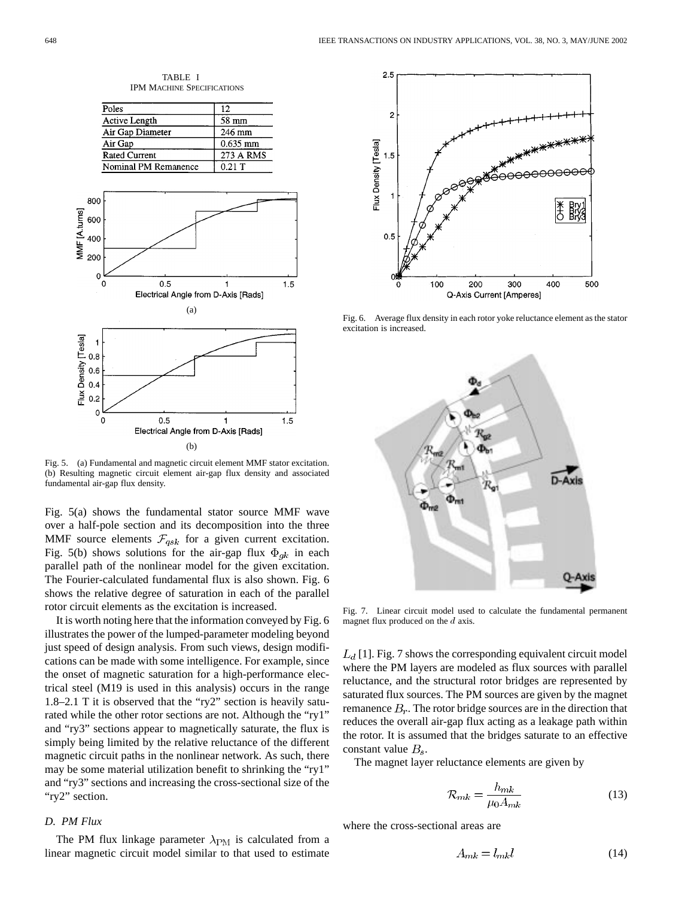

TABLE I IPM MACHINE SPECIFICATIONS

Fig. 5. (a) Fundamental and magnetic circuit element MMF stator excitation. (b) Resulting magnetic circuit element air-gap flux density and associated fundamental air-gap flux density.

Fig. 5(a) shows the fundamental stator source MMF wave over a half-pole section and its decomposition into the three MMF source elements  $\mathcal{F}_{qsk}$  for a given current excitation. Fig. 5(b) shows solutions for the air-gap flux  $\Phi_{gk}$  in each parallel path of the nonlinear model for the given excitation. The Fourier-calculated fundamental flux is also shown. Fig. 6 shows the relative degree of saturation in each of the parallel rotor circuit elements as the excitation is increased.

It is worth noting here that the information conveyed by Fig. 6 illustrates the power of the lumped-parameter modeling beyond just speed of design analysis. From such views, design modifications can be made with some intelligence. For example, since the onset of magnetic saturation for a high-performance electrical steel (M19 is used in this analysis) occurs in the range 1.8–2.1 T it is observed that the "ry2" section is heavily saturated while the other rotor sections are not. Although the "ry1" and "ry3" sections appear to magnetically saturate, the flux is simply being limited by the relative reluctance of the different magnetic circuit paths in the nonlinear network. As such, there may be some material utilization benefit to shrinking the "ry1" and "ry3" sections and increasing the cross-sectional size of the "ry2" section.

## *D. PM Flux*

The PM flux linkage parameter  $\lambda_{\rm PM}$  is calculated from a linear magnetic circuit model similar to that used to estimate



Fig. 6. Average flux density in each rotor yoke reluctance element as the stator excitation is increased.



Fig. 7. Linear circuit model used to calculate the fundamental permanent magnet flux produced on the  $d$  axis.

 $L_d$  [1]. Fig. 7 shows the corresponding equivalent circuit model where the PM layers are modeled as flux sources with parallel reluctance, and the structural rotor bridges are represented by saturated flux sources. The PM sources are given by the magnet remanence  $B_r$ . The rotor bridge sources are in the direction that reduces the overall air-gap flux acting as a leakage path within the rotor. It is assumed that the bridges saturate to an effective constant value  $B_s$ .

The magnet layer reluctance elements are given by

$$
\mathcal{R}_{mk} = \frac{h_{mk}}{\mu_0 A_{mk}}\tag{13}
$$

where the cross-sectional areas are

$$
A_{mk} = l_{mk}l\tag{14}
$$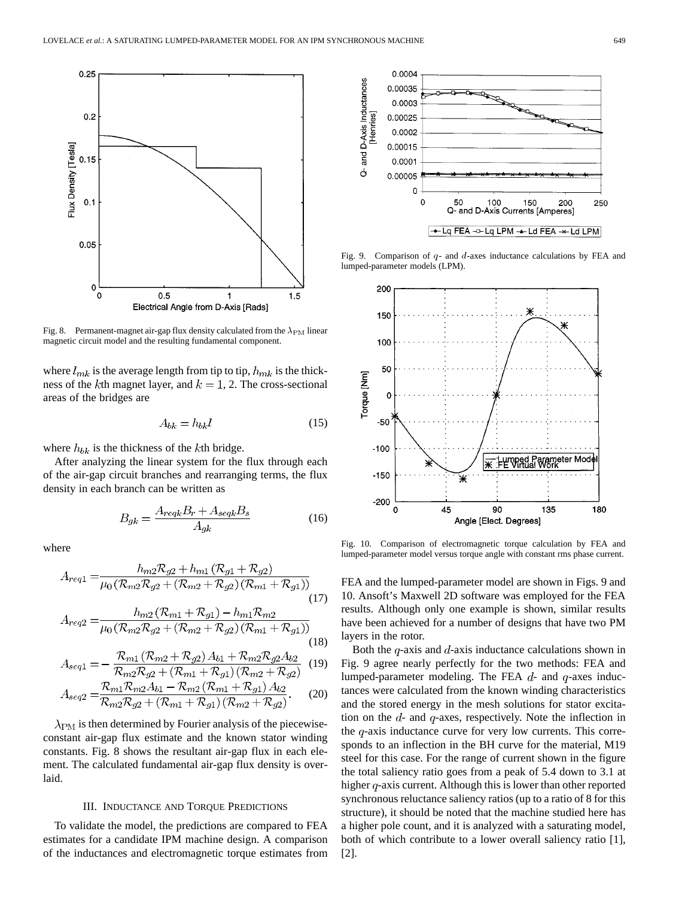

Fig. 8. Permanent-magnet air-gap flux density calculated from the  $\lambda_{\rm PM}$  linear magnetic circuit model and the resulting fundamental component.

where  $l_{mk}$  is the average length from tip to tip,  $h_{mk}$  is the thickness of the kth magnet layer, and  $k = 1, 2$ . The cross-sectional areas of the bridges are

$$
A_{bk} = h_{bk}l\tag{15}
$$

where  $h_{bk}$  is the thickness of the kth bridge.

After analyzing the linear system for the flux through each of the air-gap circuit branches and rearranging terms, the flux density in each branch can be written as

$$
B_{gk} = \frac{A_{reqk}B_r + A_{seqk}B_s}{A_{gk}}\tag{16}
$$

where

$$
A_{req1} = \frac{h_{m2}R_{g2} + h_{m1}(\mathcal{R}_{g1} + \mathcal{R}_{g2})}{\mu_0(\mathcal{R}_{m2}\mathcal{R}_{g2} + (\mathcal{R}_{m2} + \mathcal{R}_{g2})(\mathcal{R}_{m1} + \mathcal{R}_{g1}))}
$$
  
\n
$$
A_{req2} = \frac{h_{m2}(\mathcal{R}_{m1} + \mathcal{R}_{g1}) - h_{m1}\mathcal{R}_{m2}}{\mu_0(\mathcal{R}_{m2}\mathcal{R}_{g2} + (\mathcal{R}_{m2} + \mathcal{R}_{g2})(\mathcal{R}_{m1} + \mathcal{R}_{g1}))}
$$
  
\n(17)

(18)  
\n
$$
A_{\text{seal}} = -\frac{\mathcal{R}_{m1}(\mathcal{R}_{m2} + \mathcal{R}_{g2})A_{b1} + \mathcal{R}_{m2}\mathcal{R}_{g2}A_{b2}}{\mathcal{R}_{m1}(\mathcal{R}_{m1} + \mathcal{R}_{m2})A_{b1} + \mathcal{R}_{m2}\mathcal{R}_{g2}A_{b2}} \tag{18}
$$

$$
\mathcal{R}_{m1} \mathcal{R}_{m2} \mathcal{R}_{g2} + (\mathcal{R}_{m1} + \mathcal{R}_{g1}) (\mathcal{R}_{m2} + \mathcal{R}_{g2})
$$
  

$$
\mathcal{R}_{m1} \mathcal{R}_{m2} A_{b1} - \mathcal{R}_{m2} (\mathcal{R}_{m1} + \mathcal{R}_{g1}) A_{b2}
$$

$$
A_{seq2} = \frac{\mu_{m1} \mu_{m2} \mu_{b1} \cdots \mu_{m2} (\mu_{m1} + \mu_{g1}) \mu_{b2}}{\mathcal{R}_{m2} \mathcal{R}_{g2} + (\mathcal{R}_{m1} + \mathcal{R}_{g1}) (\mathcal{R}_{m2} + \mathcal{R}_{g2})}.
$$
 (20)

 $\lambda_{\rm PM}$  is then determined by Fourier analysis of the piecewiseconstant air-gap flux estimate and the known stator winding constants. Fig. 8 shows the resultant air-gap flux in each element. The calculated fundamental air-gap flux density is overlaid.

#### III. INDUCTANCE AND TORQUE PREDICTIONS

To validate the model, the predictions are compared to FEA estimates for a candidate IPM machine design. A comparison of the inductances and electromagnetic torque estimates from



Fig. 9. Comparison of  $q$ - and  $d$ -axes inductance calculations by FEA and lumped-parameter models (LPM).



Fig. 10. Comparison of electromagnetic torque calculation by FEA and lumped-parameter model versus torque angle with constant rms phase current.

FEA and the lumped-parameter model are shown in Figs. 9 and 10. Ansoft's Maxwell 2D software was employed for the FEA results. Although only one example is shown, similar results have been achieved for a number of designs that have two PM layers in the rotor.

Both the  $q$ -axis and  $d$ -axis inductance calculations shown in Fig. 9 agree nearly perfectly for the two methods: FEA and lumped-parameter modeling. The FEA  $d$ - and  $q$ -axes inductances were calculated from the known winding characteristics and the stored energy in the mesh solutions for stator excitation on the  $d$ - and  $q$ -axes, respectively. Note the inflection in the  $q$ -axis inductance curve for very low currents. This corresponds to an inflection in the BH curve for the material, M19 steel for this case. For the range of current shown in the figure the total saliency ratio goes from a peak of 5.4 down to 3.1 at higher  $q$ -axis current. Although this is lower than other reported synchronous reluctance saliency ratios (up to a ratio of 8 for this structure), it should be noted that the machine studied here has a higher pole count, and it is analyzed with a saturating model, both of which contribute to a lower overall saliency ratio [1], [2].